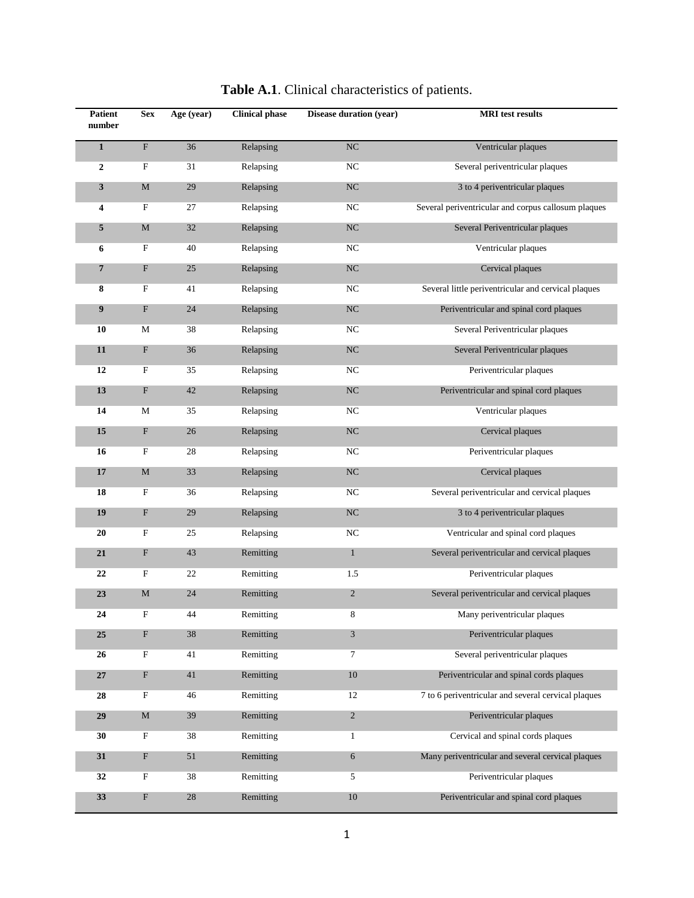| Patient<br>number | <b>Sex</b>                | Age (year) | <b>Clinical phase</b> | Disease duration (year) | <b>MRI</b> test results                             |  |
|-------------------|---------------------------|------------|-----------------------|-------------------------|-----------------------------------------------------|--|
| $\mathbf{1}$      | ${\bf F}$                 | 36         | Relapsing             | $_{\mathrm{NC}}$        | Ventricular plaques                                 |  |
| 2                 | F                         | 31         | Relapsing             | NC                      | Several periventricular plaques                     |  |
| 3                 | M                         | 29         | Relapsing             | NC                      | 3 to 4 periventricular plaques                      |  |
| 4                 | F                         | 27         | Relapsing             | NC                      | Several periventricular and corpus callosum plaques |  |
| 5                 | M                         | 32         | Relapsing             | NC                      | Several Periventricular plaques                     |  |
| 6                 | F                         | 40         | Relapsing             | NC                      | Ventricular plaques                                 |  |
| 7                 | F                         | 25         | Relapsing             | NC                      | Cervical plaques                                    |  |
| 8                 | $\boldsymbol{\mathrm{F}}$ | 41         | Relapsing             | NC                      | Several little periventricular and cervical plaques |  |
| 9                 | F                         | 24         | Relapsing             | NC                      | Periventricular and spinal cord plaques             |  |
| 10                | М                         | 38         | Relapsing             | NC                      | Several Periventricular plaques                     |  |
| 11                | F                         | 36         | Relapsing             | NC                      | Several Periventricular plaques                     |  |
| 12                | $\boldsymbol{\mathrm{F}}$ | 35         | Relapsing             | NC                      | Periventricular plaques                             |  |
| 13                | F                         | 42         | Relapsing             | NC                      | Periventricular and spinal cord plaques             |  |
| 14                | М                         | 35         | Relapsing             | NC                      | Ventricular plaques                                 |  |
| 15                | F                         | 26         | Relapsing             | $_{\mathrm{NC}}$        | Cervical plaques                                    |  |
| 16                | $\boldsymbol{\mathrm{F}}$ | 28         | Relapsing             | NC                      | Periventricular plaques                             |  |
| 17                | $\mathbf M$               | 33         | Relapsing             | $_{\mathrm{NC}}$        | Cervical plaques                                    |  |
| 18                | $\boldsymbol{\mathrm{F}}$ | 36         | Relapsing             | NC                      | Several periventricular and cervical plaques        |  |
| 19                | F                         | 29         | Relapsing             | $_{\mathrm{NC}}$        | 3 to 4 periventricular plaques                      |  |
| 20                | F                         | 25         | Relapsing             | NC                      | Ventricular and spinal cord plaques                 |  |
| 21                | F                         | 43         | Remitting             | $\mathbf{1}$            | Several periventricular and cervical plaques        |  |
| 22                | $\boldsymbol{\mathrm{F}}$ | 22         | Remitting             | 1.5                     | Periventricular plaques                             |  |
| 23                | $\mathbf M$               | 24         | Remitting             | $\overline{c}$          | Several periventricular and cervical plaques        |  |
| 24                | F                         | 44         | Remitting             | 8                       | Many periventricular plaques                        |  |
| 25                | ${\bf F}$                 | 38         | Remitting             | 3                       | Periventricular plaques                             |  |
| 26                | $\boldsymbol{\mathrm{F}}$ | 41         | Remitting             | 7                       | Several periventricular plaques                     |  |
| 27                | $\boldsymbol{\mathrm{F}}$ | 41         | Remitting             | 10                      | Periventricular and spinal cords plaques            |  |
| 28                | $\mathbf F$               | 46         | Remitting             | 12                      | 7 to 6 periventricular and several cervical plaques |  |
| 29                | $\mathbf M$               | 39         | Remitting             | $\sqrt{2}$              | Periventricular plaques                             |  |
| 30                | $\boldsymbol{\mathrm{F}}$ | 38         | Remitting             | $\mathbf{1}$            | Cervical and spinal cords plaques                   |  |
| 31                | F                         | 51         | Remitting             | $\boldsymbol{6}$        | Many periventricular and several cervical plaques   |  |
| 32                | $\boldsymbol{\mathrm{F}}$ | 38         | Remitting             | 5                       | Periventricular plaques                             |  |
| 33                | $\boldsymbol{\mathrm{F}}$ | $28\,$     | Remitting             | 10                      | Periventricular and spinal cord plaques             |  |

## **Table A.1**. Clinical characteristics of patients.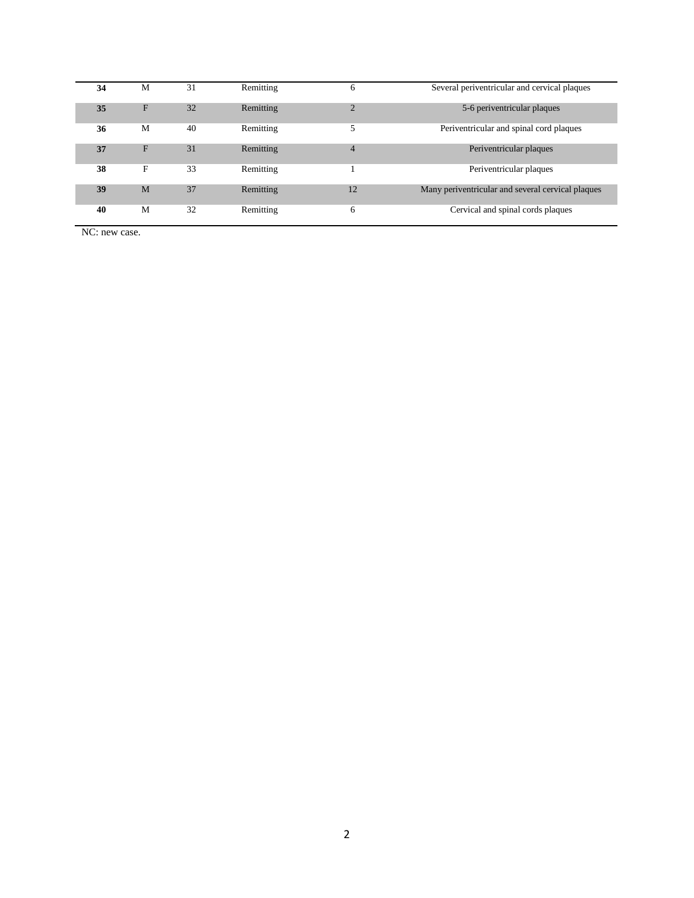| 34 | M           | 31 | Remitting | 6              | Several periventricular and cervical plaques      |  |  |  |
|----|-------------|----|-----------|----------------|---------------------------------------------------|--|--|--|
| 35 | F           | 32 | Remitting | $\overline{2}$ | 5-6 periventricular plaques                       |  |  |  |
| 36 | M           | 40 | Remitting | 5              | Periventricular and spinal cord plaques           |  |  |  |
| 37 | F           | 31 | Remitting | $\overline{4}$ | Periventricular plaques                           |  |  |  |
| 38 | $\mathbf F$ | 33 | Remitting |                | Periventricular plaques                           |  |  |  |
| 39 | M           | 37 | Remitting | 12             | Many periventricular and several cervical plaques |  |  |  |
| 40 | M           | 32 | Remitting | 6              | Cervical and spinal cords plaques                 |  |  |  |

NC: new case.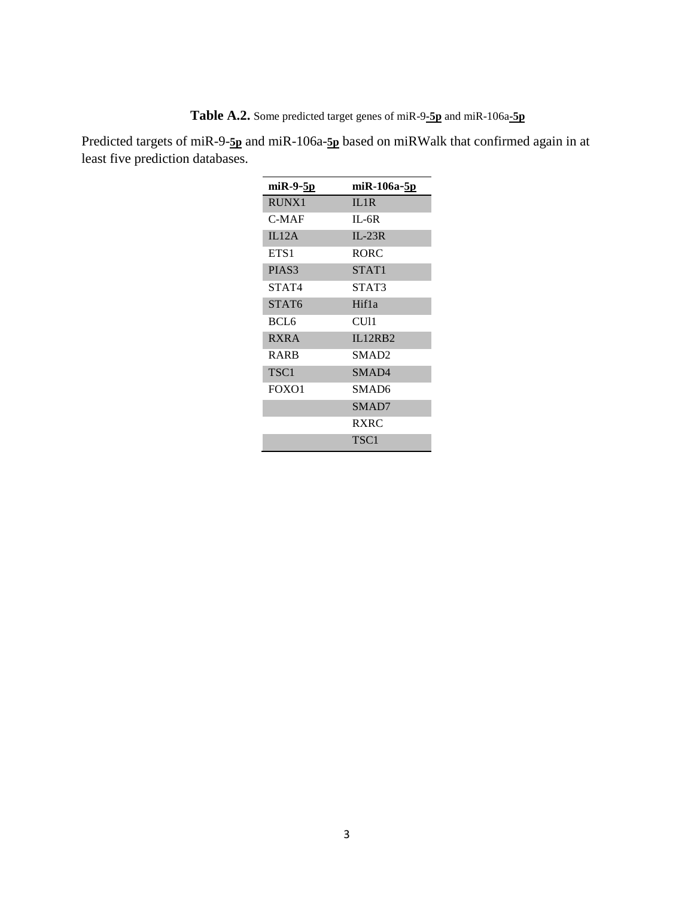**Table A.2.** Some predicted target genes of miR-9**-5p** and miR-106a**-5p**

Predicted targets of miR-9-**5p** and miR-106a-**5p** based on miRWalk that confirmed again in at least five prediction databases.

| miR-9-5p          | miR-106a-5p       |
|-------------------|-------------------|
| <b>RUNX1</b>      | IL1R              |
| C-MAF             | $IL-6R$           |
| IL12A             | $IL-23R$          |
| ETS1              | RORC              |
| PIAS <sub>3</sub> | STAT1             |
| STAT4             | STAT3             |
| STAT <sub>6</sub> | Hif1a             |
| BCL6              | CU11              |
| <b>RXRA</b>       | II.12RB2          |
| <b>RARB</b>       | SMAD <sub>2</sub> |
| TSC <sub>1</sub>  | SMAD4             |
| FOXO1             | SMAD6             |
|                   | SMAD7             |
|                   | <b>RXRC</b>       |
|                   | TSC1              |